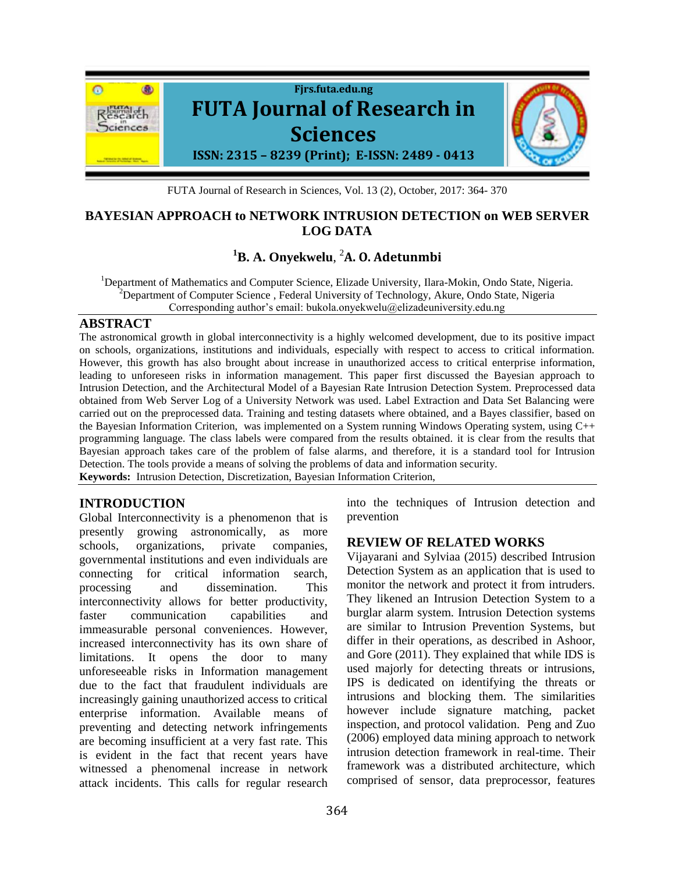

FUTA Journal of Research in Sciences, Vol. 13 (2), October, 2017: 364- 370

## **BAYESIAN APPROACH to NETWORK INTRUSION DETECTION on WEB SERVER LOG DATA**

# **<sup>1</sup>B. A. Onyekwelu**, <sup>2</sup>**A. O. Adetunmbi**

<sup>1</sup>Department of Mathematics and Computer Science, Elizade University, Ilara-Mokin, Ondo State, Nigeria. <sup>2</sup>Department of Computer Science, Federal University of Technology, Akure, Ondo State, Nigeria Corresponding author's email: bukola.onyekwelu@elizadeuniversity.edu.ng

#### **ABSTRACT**

The astronomical growth in global interconnectivity is a highly welcomed development, due to its positive impact on schools, organizations, institutions and individuals, especially with respect to access to critical information. However, this growth has also brought about increase in unauthorized access to critical enterprise information, leading to unforeseen risks in information management. This paper first discussed the Bayesian approach to Intrusion Detection, and the Architectural Model of a Bayesian Rate Intrusion Detection System. Preprocessed data obtained from Web Server Log of a University Network was used. Label Extraction and Data Set Balancing were carried out on the preprocessed data. Training and testing datasets where obtained, and a Bayes classifier, based on the Bayesian Information Criterion, was implemented on a System running Windows Operating system, using C++ programming language. The class labels were compared from the results obtained. it is clear from the results that Bayesian approach takes care of the problem of false alarms, and therefore, it is a standard tool for Intrusion Detection. The tools provide a means of solving the problems of data and information security. **Keywords:** Intrusion Detection, Discretization, Bayesian Information Criterion,

## **INTRODUCTION**

Global Interconnectivity is a phenomenon that is presently growing astronomically, as more schools, organizations, private companies, governmental institutions and even individuals are connecting for critical information search, processing and dissemination. This interconnectivity allows for better productivity, faster communication capabilities and immeasurable personal conveniences. However, increased interconnectivity has its own share of limitations. It opens the door to many unforeseeable risks in Information management due to the fact that fraudulent individuals are increasingly gaining unauthorized access to critical enterprise information. Available means of preventing and detecting network infringements are becoming insufficient at a very fast rate. This is evident in the fact that recent years have witnessed a phenomenal increase in network attack incidents. This calls for regular research

into the techniques of Intrusion detection and prevention

### **REVIEW OF RELATED WORKS**

Vijayarani and Sylviaa (2015) described Intrusion Detection System as an application that is used to monitor the network and protect it from intruders. They likened an Intrusion Detection System to a burglar alarm system. Intrusion Detection systems are similar to Intrusion Prevention Systems, but differ in their operations, as described in Ashoor, and Gore (2011). They explained that while IDS is used majorly for detecting threats or intrusions, IPS is dedicated on identifying the threats or intrusions and blocking them. The similarities however include signature matching, packet inspection, and protocol validation. Peng and Zuo (2006) employed data mining approach to network intrusion detection framework in real-time. Their framework was a distributed architecture, which comprised of sensor, data preprocessor, features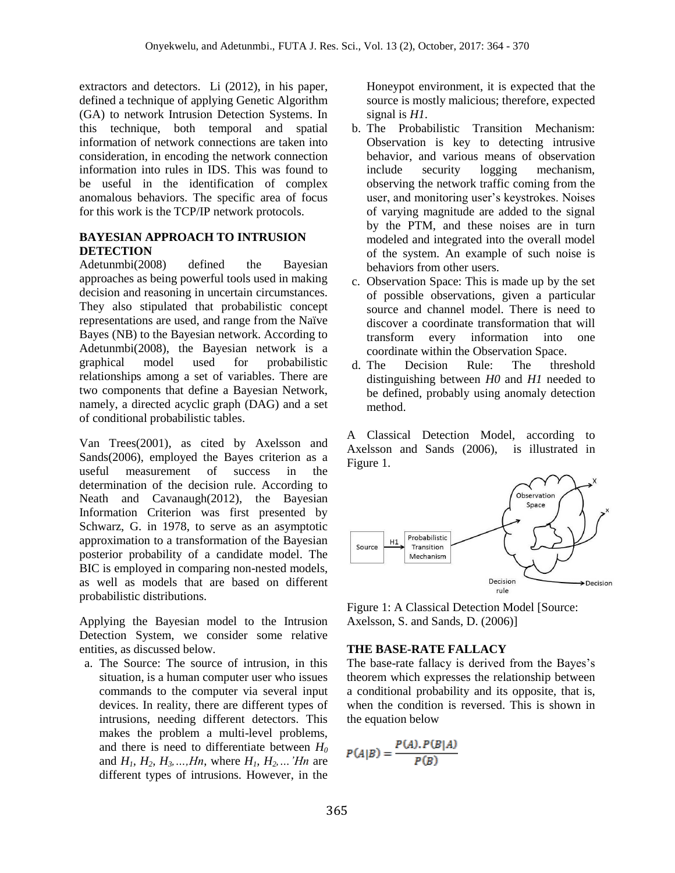extractors and detectors. Li (2012), in his paper, defined a technique of applying Genetic Algorithm (GA) to network Intrusion Detection Systems. In this technique, both temporal and spatial information of network connections are taken into consideration, in encoding the network connection information into rules in IDS. This was found to be useful in the identification of complex anomalous behaviors. The specific area of focus for this work is the TCP/IP network protocols.

#### **BAYESIAN APPROACH TO INTRUSION DETECTION**

Adetunmbi(2008) defined the Bayesian approaches as being powerful tools used in making decision and reasoning in uncertain circumstances. They also stipulated that probabilistic concept representations are used, and range from the Naïve Bayes (NB) to the Bayesian network. According to Adetunmbi(2008), the Bayesian network is a graphical model used for probabilistic relationships among a set of variables. There are two components that define a Bayesian Network, namely, a directed acyclic graph (DAG) and a set of conditional probabilistic tables.

Van Trees(2001), as cited by Axelsson and Sands(2006), employed the Bayes criterion as a useful measurement of success in the determination of the decision rule. According to Neath and Cavanaugh(2012), the Bayesian Information Criterion was first presented by Schwarz, G. in 1978, to serve as an asymptotic approximation to a transformation of the Bayesian posterior probability of a candidate model. The BIC is employed in comparing non-nested models, as well as models that are based on different probabilistic distributions.

Applying the Bayesian model to the Intrusion Detection System, we consider some relative entities, as discussed below.

a. The Source: The source of intrusion, in this situation, is a human computer user who issues commands to the computer via several input devices. In reality, there are different types of intrusions, needing different detectors. This makes the problem a multi-level problems, and there is need to differentiate between *H<sup>0</sup>* and  $H_1, H_2, H_3, \ldots, H_n$ , where  $H_1, H_2, \ldots$  'Hn are different types of intrusions. However, in the

Honeypot environment, it is expected that the source is mostly malicious; therefore, expected signal is *H1*.

- b. The Probabilistic Transition Mechanism: Observation is key to detecting intrusive behavior, and various means of observation include security logging mechanism, observing the network traffic coming from the user, and monitoring user's keystrokes. Noises of varying magnitude are added to the signal by the PTM, and these noises are in turn modeled and integrated into the overall model of the system. An example of such noise is behaviors from other users.
- c. Observation Space: This is made up by the set of possible observations, given a particular source and channel model. There is need to discover a coordinate transformation that will transform every information into one coordinate within the Observation Space.
- d. The Decision Rule: The threshold distinguishing between *H0* and *H1* needed to be defined, probably using anomaly detection method.

A Classical Detection Model, according to Axelsson and Sands (2006), is illustrated in Figure 1.



Figure 1: A Classical Detection Model [Source: Axelsson, S. and Sands, D. (2006)]

#### **THE BASE-RATE FALLACY**

The base-rate fallacy is derived from the Bayes's theorem which expresses the relationship between a conditional probability and its opposite, that is, when the condition is reversed. This is shown in the equation below

$$
P(A|B) = \frac{P(A), P(B|A)}{P(B)}
$$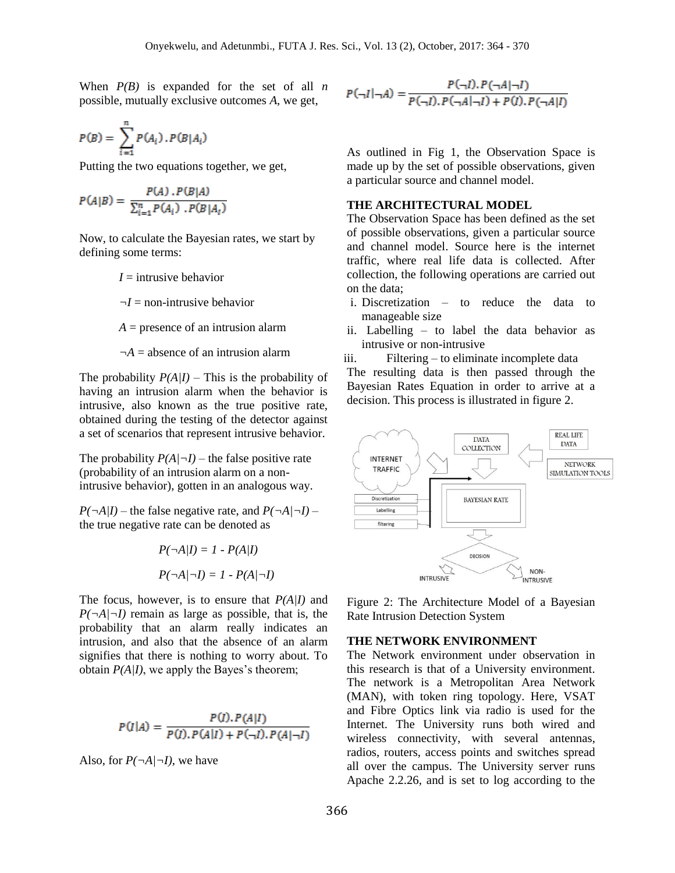When  $P(B)$  is expanded for the set of all *n* possible, mutually exclusive outcomes *A*, we get,

$$
P(B) = \sum_{i=1}^{n} P(A_i) \cdot P(B|A_i)
$$

Putting the two equations together, we get,

$$
P(A|B) = \frac{P(A) \cdot P(B|A)}{\sum_{i=1}^{n} P(A_i) \cdot P(B|A_i)}
$$

Now, to calculate the Bayesian rates, we start by defining some terms:

 $I =$  intrusive behavior

*¬I* = non-intrusive behavior

 $A =$  presence of an intrusion alarm

 $\neg A =$  absence of an intrusion alarm

The probability  $P(A/I)$  – This is the probability of having an intrusion alarm when the behavior is intrusive, also known as the true positive rate, obtained during the testing of the detector against a set of scenarios that represent intrusive behavior.

The probability  $P(A \mid \neg I)$  – the false positive rate (probability of an intrusion alarm on a nonintrusive behavior), gotten in an analogous way.

 $P(\neg A/I)$  – the false negative rate, and  $P(\neg A/\neg I)$  – the true negative rate can be denoted as

$$
P(\neg A|I) = 1 - P(A|I)
$$

$$
P(\neg A|\neg I) = 1 - P(A|\neg I)
$$

The focus, however, is to ensure that *P(A|I)* and  $P(\neg A/\neg I)$  remain as large as possible, that is, the probability that an alarm really indicates an intrusion, and also that the absence of an alarm signifies that there is nothing to worry about. To obtain  $P(A/I)$ , we apply the Bayes's theorem;

$$
P(I|A) = \frac{P(I), P(A|I)}{P(I), P(A|I) + P(\neg I), P(A|\neg I)}
$$

Also, for  $P(\neg A/\neg I)$ , we have

$$
P(\neg I | \neg A) = \frac{P(\neg I). P(\neg A | \neg I)}{P(\neg I). P(\neg A | \neg I) + P(I). P(\neg A | I)}
$$

As outlined in Fig 1, the Observation Space is made up by the set of possible observations, given a particular source and channel model.

#### **THE ARCHITECTURAL MODEL**

The Observation Space has been defined as the set of possible observations, given a particular source and channel model. Source here is the internet traffic, where real life data is collected. After collection, the following operations are carried out on the data;

- i. Discretization to reduce the data to manageable size
- ii. Labelling to label the data behavior as intrusive or non-intrusive
- iii. Filtering to eliminate incomplete data

The resulting data is then passed through the Bayesian Rates Equation in order to arrive at a decision. This process is illustrated in figure 2.



Figure 2: The Architecture Model of a Bayesian Rate Intrusion Detection System

#### **THE NETWORK ENVIRONMENT**

The Network environment under observation in this research is that of a University environment. The network is a Metropolitan Area Network (MAN), with token ring topology. Here, VSAT and Fibre Optics link via radio is used for the Internet. The University runs both wired and wireless connectivity, with several antennas, radios, routers, access points and switches spread all over the campus. The University server runs Apache 2.2.26, and is set to log according to the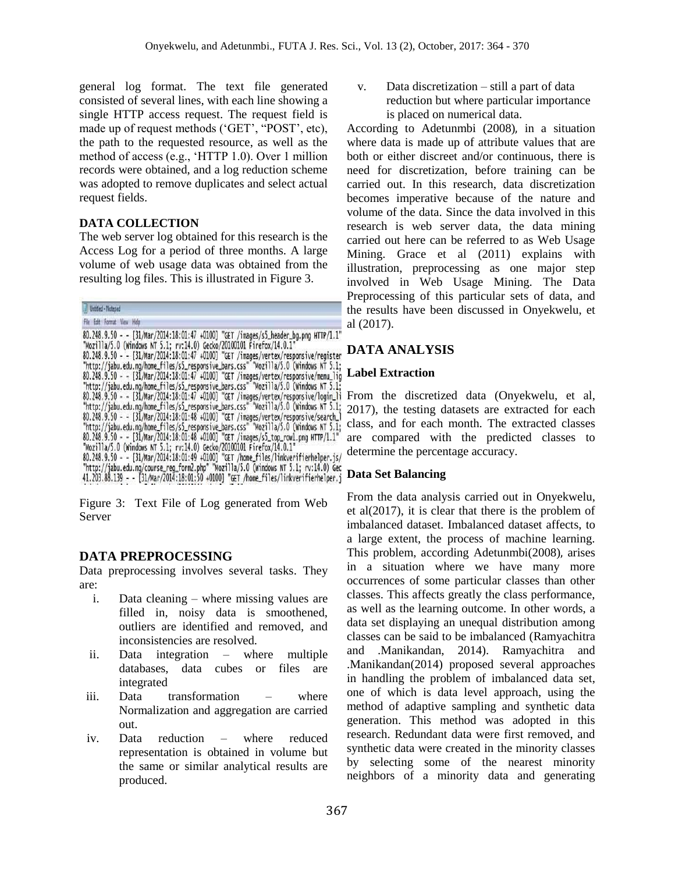general log format. The text file generated consisted of several lines, with each line showing a single HTTP access request. The request field is made up of request methods ('GET', "POST', etc), the path to the requested resource, as well as the method of access (e.g., 'HTTP 1.0). Over 1 million records were obtained, and a log reduction scheme was adopted to remove duplicates and select actual request fields.

#### **DATA COLLECTION**

The web server log obtained for this research is the Access Log for a period of three months. A large volume of web usage data was obtained from the resulting log files. This is illustrated in Figure 3.

Untitled - Notepad

```
File Edit Format View Help
```
80.248.9.50 - - [31/Mar/2014:18:01:47 +0100] "GET /images/s5\_header\_bg.png HTTP/1.1"<br>"Mozilla/5.0 (Windows NT 5.1; rv:14.0) Gecko/20100101 Firefox/14.0.1"<br>80.248.9.50 - - [31/Mar/2014:18:01:47 +0100] "GET /images/vertex/re "http://jabu.edu.ng/home\_files/s5\_responsive\_bars.css" "Mozilla/5.0 (Windows NT 5.1; 80.248.9.50 - - [31/Mar/2014:18:01:47 +0100] "GET /images/vertex/responsive/login\_li<br>"http://jabu.edu.ng/home\_files/s5\_responsive\_bars.css" "Mozilla/5.0 (windows NT 5.1;<br>80.248.9.50 - - [31/Mar/2014:18:01:48 +0100] "GET / 80.248.9.50 - - [31/Mar/2014:18:01:48 +0100] "GET /images/s5\_top\_rowl.png HTTP/1.1"<br>"Mozilla/5.0 (Windows NT 5.1; rv:14.0) Gecko/20100101 Firefox/14.0.1"<br>80.248.9.50 - - [31/Mar/2014:18:01:49 +0100] "GET /home\_files/linkv "http://jabu.edu.ng/course\_reg\_form2.php" "Mozilla/5.0 (windows NT 5.1; rv:14.0) Gec<br>41.203.88.139 - - [31/Mar/2014:18:01:50 +0100] "GET /home\_files/linkverifierhelper.j

Figure 3: Text File of Log generated from Web Server

## **DATA PREPROCESSING**

Data preprocessing involves several tasks. They are:

- i. Data cleaning where missing values are filled in, noisy data is smoothened, outliers are identified and removed, and inconsistencies are resolved.
- ii. Data integration where multiple databases, data cubes or files are integrated
- iii. Data transformation where Normalization and aggregation are carried out.
- iv. Data reduction where reduced representation is obtained in volume but the same or similar analytical results are produced.

v. Data discretization – still a part of data reduction but where particular importance is placed on numerical data.

According to Adetunmbi (2008), in a situation where data is made up of attribute values that are both or either discreet and/or continuous, there is need for discretization, before training can be carried out. In this research, data discretization becomes imperative because of the nature and volume of the data. Since the data involved in this research is web server data, the data mining carried out here can be referred to as Web Usage Mining. Grace et al (2011) explains with illustration, preprocessing as one major step involved in Web Usage Mining. The Data Preprocessing of this particular sets of data, and the results have been discussed in Onyekwelu, et al (2017).

### **DATA ANALYSIS**

### **Label Extraction**

From the discretized data (Onyekwelu, et al, 2017), the testing datasets are extracted for each class, and for each month. The extracted classes are compared with the predicted classes to determine the percentage accuracy.

#### **Data Set Balancing**

From the data analysis carried out in Onyekwelu, et al(2017), it is clear that there is the problem of imbalanced dataset. Imbalanced dataset affects, to a large extent, the process of machine learning. This problem, according Adetunmbi(2008), arises in a situation where we have many more occurrences of some particular classes than other classes. This affects greatly the class performance, as well as the learning outcome. In other words, a data set displaying an unequal distribution among classes can be said to be imbalanced (Ramyachitra and .Manikandan, 2014). Ramyachitra and .Manikandan(2014) proposed several approaches in handling the problem of imbalanced data set, one of which is data level approach, using the method of adaptive sampling and synthetic data generation. This method was adopted in this research. Redundant data were first removed, and synthetic data were created in the minority classes by selecting some of the nearest minority neighbors of a minority data and generating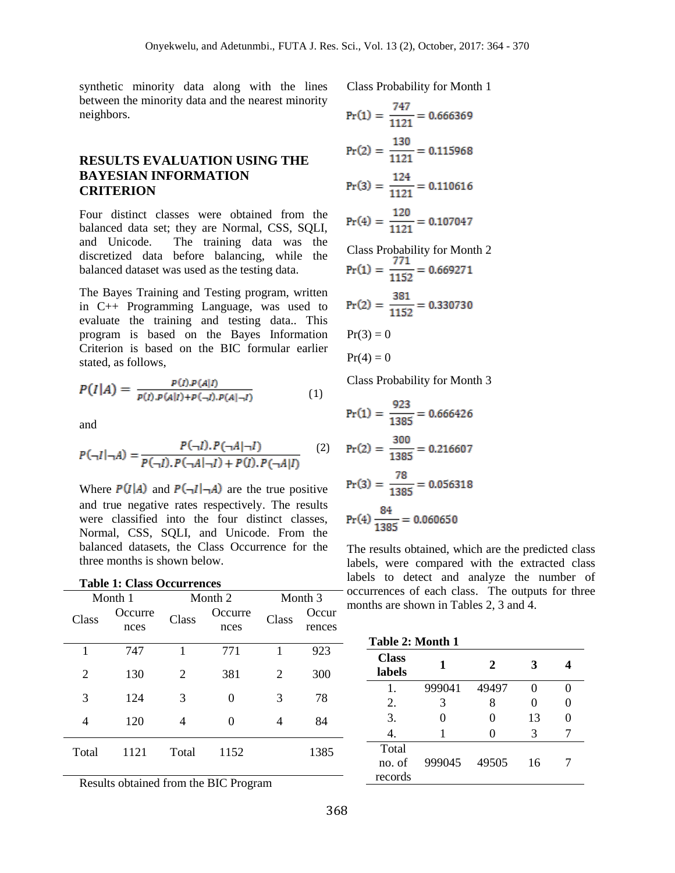synthetic minority data along with the lines between the minority data and the nearest minority neighbors.

### **RESULTS EVALUATION USING THE BAYESIAN INFORMATION CRITERION**

Four distinct classes were obtained from the balanced data set; they are Normal, CSS, SQLI, and Unicode. The training data was the discretized data before balancing, while the balanced dataset was used as the testing data.

The Bayes Training and Testing program, written in C++ Programming Language, was used to evaluate the training and testing data.. This program is based on the Bayes Information Criterion is based on the BIC formular earlier stated, as follows,

$$
P(I|A) = \frac{P(I) \cdot P(A|I)}{P(I) \cdot P(A|I) + P(\neg I) \cdot P(A|\neg I)}
$$
(1)

and

 $T<sub>1</sub>$  1:  $T<sub>2</sub>$  O<sub>L</sub>

$$
P(\neg I | \neg A) = \frac{P(\neg I). P(\neg A | \neg I)}{P(\neg I). P(\neg A | \neg I) + P(I). P(\neg A | I)} \tag{2}
$$

Where  $P(I|A)$  and  $P(\neg I|\neg A)$  are the true positive and true negative rates respectively. The results were classified into the four distinct classes, Normal, CSS, SQLI, and Unicode. From the balanced datasets, the Class Occurrence for the three months is shown below.

| Table 1: Class Occurrences |                 |         |                 |         |                 |
|----------------------------|-----------------|---------|-----------------|---------|-----------------|
| Month 1                    |                 | Month 2 |                 | Month 3 |                 |
| Class                      | Occurre<br>nces | Class   | Occurre<br>nces | Class   | Occur<br>rences |
| 1                          | 747             | 1       | 771             | 1       | 923             |
| $\overline{2}$             | 130             | 2       | 381             | 2       | 300             |
| 3                          | 124             | 3       | 0               | 3       | 78              |
| 4                          | 120             | 4       | $\Omega$        | 4       | 84              |
| Total                      | 1121            | Total   | 1152            |         | 1385            |

Results obtained from the BIC Program

Class Probability for Month 1

$$
Pr(1) = \frac{747}{1121} = 0.666369
$$
  
\n
$$
Pr(2) = \frac{130}{1121} = 0.115968
$$
  
\n
$$
Pr(3) = \frac{124}{1121} = 0.110616
$$
  
\n
$$
Pr(4) = \frac{120}{1121} = 0.107047
$$
  
\nClass Probability for Month 2

$$
Pr(1) = \frac{771}{1152} = 0.669271
$$

$$
Pr(2) = \frac{381}{1152} = 0.330730
$$

$$
Pr(3) = 0
$$

$$
PT(3) \equiv 0
$$

$$
Pr(4)=0
$$

Class Probability for Month 3

$$
Pr(1) = \frac{923}{1385} = 0.666426
$$

$$
Pr(2) = \frac{300}{1385} = 0.216607
$$

$$
Pr(3) = \frac{78}{1385} = 0.056318
$$

$$
Pr(4) \frac{84}{1385} = 0.060650
$$

The results obtained, which are the predicted class labels, were compared with the extracted class labels to detect and analyze the number of occurrences of each class. The outputs for three months are shown in Tables 2, 3 and 4.

|                        | Table 2: Month 1 |       |    |  |  |  |
|------------------------|------------------|-------|----|--|--|--|
| <b>Class</b><br>labels |                  | 2     |    |  |  |  |
| 1.                     | 999041           | 49497 |    |  |  |  |
| 2.                     | 3                | 8     |    |  |  |  |
| 3.                     | 0                | 0     | 13 |  |  |  |
|                        |                  |       | 3  |  |  |  |
| Total                  |                  |       |    |  |  |  |
| no. of                 | 999045           | 49505 | 16 |  |  |  |
| records                |                  |       |    |  |  |  |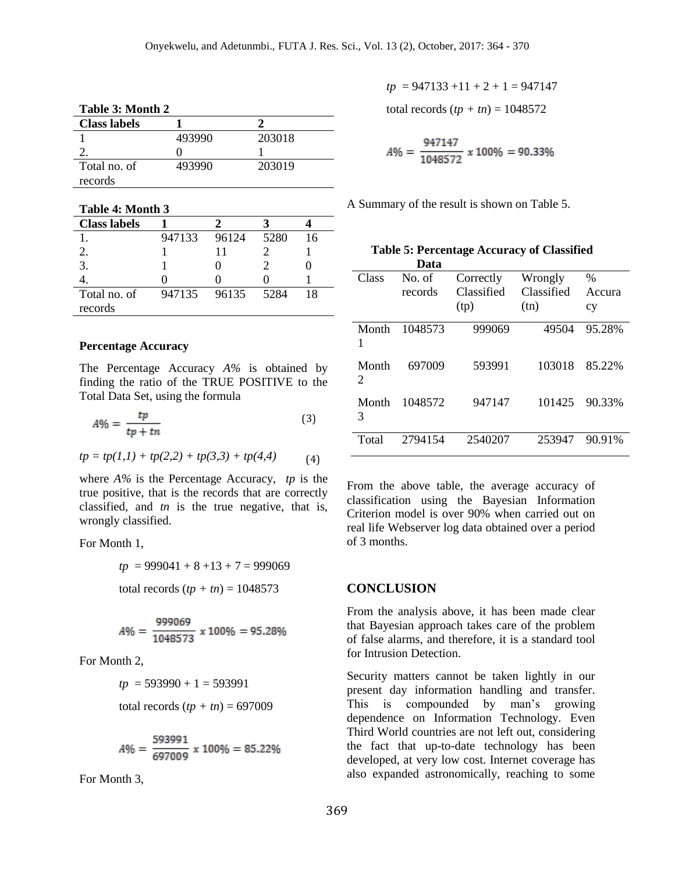| Table 3: Month 2    |        |        |  |  |
|---------------------|--------|--------|--|--|
| <b>Class labels</b> |        |        |  |  |
|                     | 493990 | 203018 |  |  |
|                     |        |        |  |  |
| Total no. of        | 493990 | 203019 |  |  |
| records             |        |        |  |  |

| Table 4: Month 3    |        |       |      |    |
|---------------------|--------|-------|------|----|
| <b>Class labels</b> |        |       |      |    |
|                     | 947133 | 96124 | 5280 | 16 |
| 2.                  |        | 11    |      |    |
| 3.                  |        |       |      |    |
|                     |        |       |      |    |
| Total no. of        | 947135 | 96135 | 5284 | 18 |
| records             |        |       |      |    |

#### **Percentage Accuracy**

The Percentage Accuracy *A%* is obtained by finding the ratio of the TRUE POSITIVE to the Total Data Set, using the formula

$$
A\% = \frac{tp}{tp + tn} \tag{3}
$$

$$
tp = tp(1,1) + tp(2,2) + tp(3,3) + tp(4,4)
$$
 (4)

where *A%* is the Percentage Accuracy, *tp* is the true positive, that is the records that are correctly classified, and *tn* is the true negative, that is, wrongly classified.

For Month 1,

$$
tp = 999041 + 8 + 13 + 7 = 999069
$$

total records 
$$
(tp + tn) = 1048573
$$

$$
A\% = \frac{999069}{1048573} \times 100\% = 95.28\%
$$

For Month 2,

$$
tp = 593990 + 1 = 593991
$$

total records 
$$
(tp + tn) = 697009
$$

$$
A\% = \frac{593991}{697009} \times 100\% = 85.22\%
$$

For Month 3,

 $tp = 947133 + 11 + 2 + 1 = 947147$ 

total records  $(tp + tn) = 1048572$ 

$$
A\% = \frac{947147}{1048572} \times 100\% = 90.33\%
$$

A Summary of the result is shown on Table 5.

|                                      | Data              |                                 |                               |                      |
|--------------------------------------|-------------------|---------------------------------|-------------------------------|----------------------|
| Class                                | No. of<br>records | Correctly<br>Classified<br>(tp) | Wrongly<br>Classified<br>(tn) | $\%$<br>Accura<br>cy |
| Month<br>1                           | 1048573           | 999069                          | 49504                         | 95.28%               |
| Month<br>$\mathcal{D}_{\mathcal{A}}$ | 697009            | 593991                          | 103018                        | 85.22%               |
| Month<br>3                           | 1048572           | 947147                          | 101425                        | 90.33%               |
| Total                                | 2794154           | 2540207                         | 253947                        | 90.91%               |

 **Table 5: Percentage Accuracy of Classified**

From the above table, the average accuracy of classification using the Bayesian Information Criterion model is over 90% when carried out on real life Webserver log data obtained over a period of 3 months.

#### **CONCLUSION**

From the analysis above, it has been made clear that Bayesian approach takes care of the problem of false alarms, and therefore, it is a standard tool for Intrusion Detection.

Security matters cannot be taken lightly in our present day information handling and transfer. This is compounded by man's growing dependence on Information Technology. Even Third World countries are not left out, considering the fact that up-to-date technology has been developed, at very low cost. Internet coverage has also expanded astronomically, reaching to some